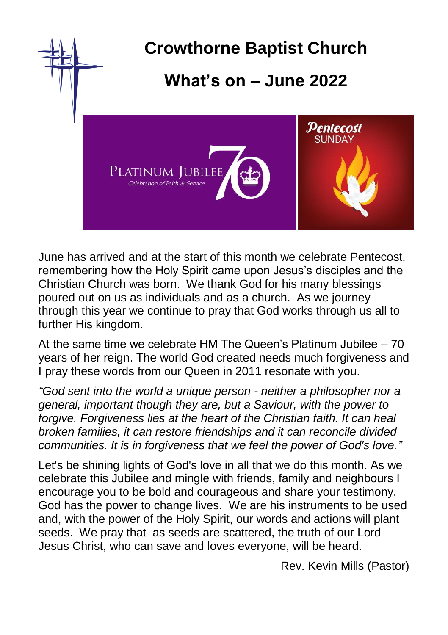

June has arrived and at the start of this month we celebrate Pentecost, remembering how the Holy Spirit came upon Jesus's disciples and the Christian Church was born. We thank God for his many blessings poured out on us as individuals and as a church. As we journey through this year we continue to pray that God works through us all to further His kingdom.

At the same time we celebrate HM The Queen's Platinum Jubilee – 70 years of her reign. The world God created needs much forgiveness and I pray these words from our Queen in 2011 resonate with you.

*"God sent into the world a unique person - neither a philosopher nor a general, important though they are, but a Saviour, with the power to forgive. Forgiveness lies at the heart of the Christian faith. It can heal broken families, it can restore friendships and it can reconcile divided communities. It is in forgiveness that we feel the power of God's love."*

Let's be shining lights of God's love in all that we do this month. As we celebrate this Jubilee and mingle with friends, family and neighbours I encourage you to be bold and courageous and share your testimony. God has the power to change lives. We are his instruments to be used and, with the power of the Holy Spirit, our words and actions will plant seeds. We pray that as seeds are scattered, the truth of our Lord Jesus Christ, who can save and loves everyone, will be heard.

Rev. Kevin Mills (Pastor)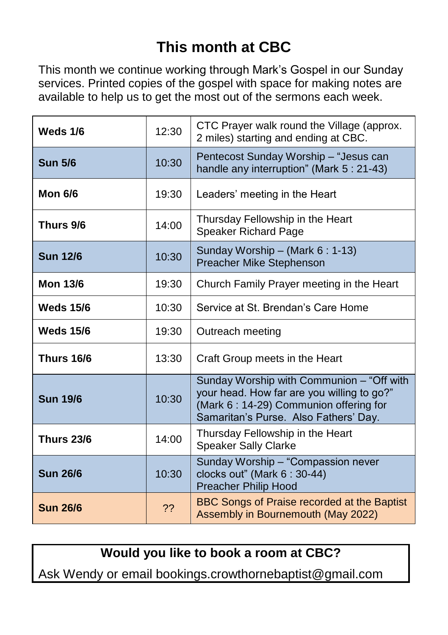# **This month at CBC**

This month we continue working through Mark's Gospel in our Sunday services. Printed copies of the gospel with space for making notes are available to help us to get the most out of the sermons each week.

| Weds 1/6          | 12:30 | CTC Prayer walk round the Village (approx.<br>2 miles) starting and ending at CBC.                                                                                         |
|-------------------|-------|----------------------------------------------------------------------------------------------------------------------------------------------------------------------------|
| <b>Sun 5/6</b>    | 10:30 | Pentecost Sunday Worship - "Jesus can<br>handle any interruption" (Mark 5 : 21-43)                                                                                         |
| <b>Mon 6/6</b>    | 19:30 | Leaders' meeting in the Heart                                                                                                                                              |
| Thurs 9/6         | 14:00 | Thursday Fellowship in the Heart<br><b>Speaker Richard Page</b>                                                                                                            |
| <b>Sun 12/6</b>   | 10:30 | Sunday Worship - (Mark 6: 1-13)<br>Preacher Mike Stephenson                                                                                                                |
| <b>Mon 13/6</b>   | 19:30 | Church Family Prayer meeting in the Heart                                                                                                                                  |
| <b>Weds 15/6</b>  | 10:30 | Service at St. Brendan's Care Home                                                                                                                                         |
| <b>Weds 15/6</b>  | 19:30 | Outreach meeting                                                                                                                                                           |
| <b>Thurs 16/6</b> | 13:30 | Craft Group meets in the Heart                                                                                                                                             |
| <b>Sun 19/6</b>   | 10:30 | Sunday Worship with Communion - "Off with<br>your head. How far are you willing to go?"<br>(Mark 6: 14-29) Communion offering for<br>Samaritan's Purse. Also Fathers' Day. |
| <b>Thurs 23/6</b> | 14:00 | Thursday Fellowship in the Heart<br><b>Speaker Sally Clarke</b>                                                                                                            |
| <b>Sun 26/6</b>   | 10:30 | Sunday Worship - "Compassion never<br>clocks out" (Mark 6 : 30-44)<br><b>Preacher Philip Hood</b>                                                                          |
| <b>Sun 26/6</b>   | ??    | BBC Songs of Praise recorded at the Baptist<br>Assembly in Bournemouth (May 2022)                                                                                          |

**Would you like to book a room at CBC?**

Ask Wendy or email bookings.crowthornebaptist@gmail.com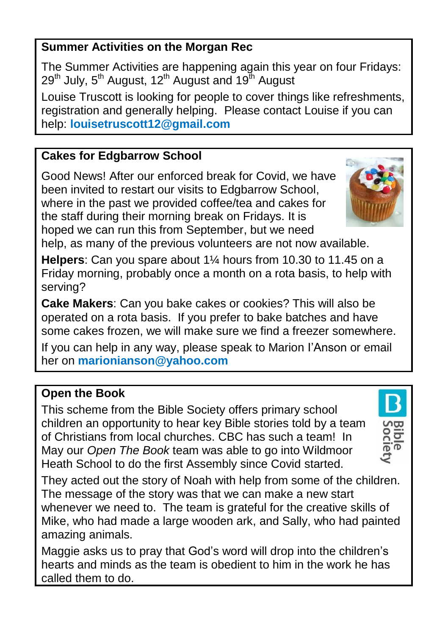### **Summer Activities on the Morgan Rec**

The Summer Activities are happening again this year on four Fridays:  $29<sup>th</sup>$  July,  $5<sup>th</sup>$  August, 12<sup>th</sup> August and 19<sup>th</sup> August

Louise Truscott is looking for people to cover things like refreshments, registration and generally helping. Please contact Louise if you can help: **louisetruscott12@gmail.com**

## **Cakes for Edgbarrow School**

Good News! After our enforced break for Covid, we have been invited to restart our visits to Edgbarrow School, where in the past we provided coffee/tea and cakes for the staff during their morning break on Fridays. It is hoped we can run this from September, but we need help, as many of the previous volunteers are not now available.

**Helpers**: Can you spare about 1¼ hours from 10.30 to 11.45 on a Friday morning, probably once a month on a rota basis, to help with serving?

**Cake Makers**: Can you bake cakes or cookies? This will also be operated on a rota basis. If you prefer to bake batches and have some cakes frozen, we will make sure we find a freezer somewhere.

If you can help in any way, please speak to Marion I'Anson or email her on **marionianson@yahoo.com**

### **Open the Book**

This scheme from the Bible Society offers primary school children an opportunity to hear key Bible stories told by a team of Christians from local churches. CBC has such a team! In May our *Open The Book* team was able to go into Wildmoor Heath School to do the first Assembly since Covid started.

They acted out the story of Noah with help from some of the children. The message of the story was that we can make a new start whenever we need to. The team is grateful for the creative skills of Mike, who had made a large wooden ark, and Sally, who had painted amazing animals.

Maggie asks us to pray that God's word will drop into the children's hearts and minds as the team is obedient to him in the work he has called them to do.



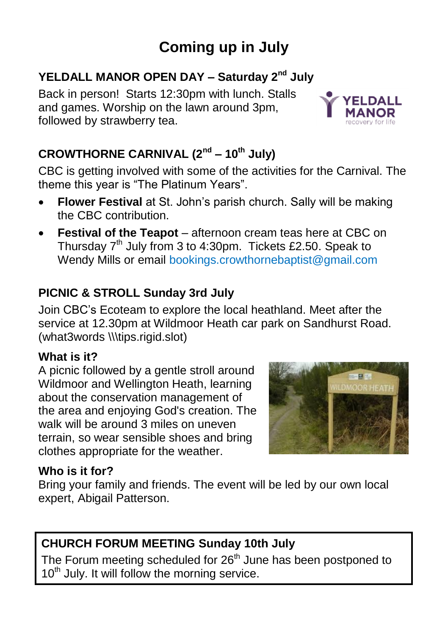# **Coming up in July**

# YELDALL MANOR OPEN DAY - Saturday 2<sup>nd</sup> July

Back in person! Starts 12:30pm with lunch. Stalls and games. Worship on the lawn around 3pm, followed by strawberry tea.

# **CROWTHORNE CARNIVAL (2nd – 10th July)**

CBC is getting involved with some of the activities for the Carnival. The theme this year is "The Platinum Years".

- **Flower Festival** at St. John's parish church. Sally will be making the CBC contribution.
- **Festival of the Teapot** afternoon cream teas here at CBC on Thursday  $7<sup>th</sup>$  July from 3 to 4:30pm. Tickets £2.50. Speak to Wendy Mills or email bookings.crowthornebaptist@gmail.com

## **PICNIC & STROLL Sunday 3rd July**

Join CBC's Ecoteam to explore the local heathland. Meet after the service at 12.30pm at Wildmoor Heath car park on Sandhurst Road. (what3words \\\tips.rigid.slot)

### **What is it?**

A picnic followed by a gentle stroll around Wildmoor and Wellington Heath, learning about the conservation management of the area and enjoying God's creation. The walk will be around 3 miles on uneven terrain, so wear sensible shoes and bring clothes appropriate for the weather.



### **Who is it for?**

Bring your family and friends. The event will be led by our own local expert, Abigail Patterson.

## **CHURCH FORUM MEETING Sunday 10th July**

The Forum meeting scheduled for  $26<sup>th</sup>$  June has been postponed to  $10<sup>th</sup>$  July. It will follow the morning service.

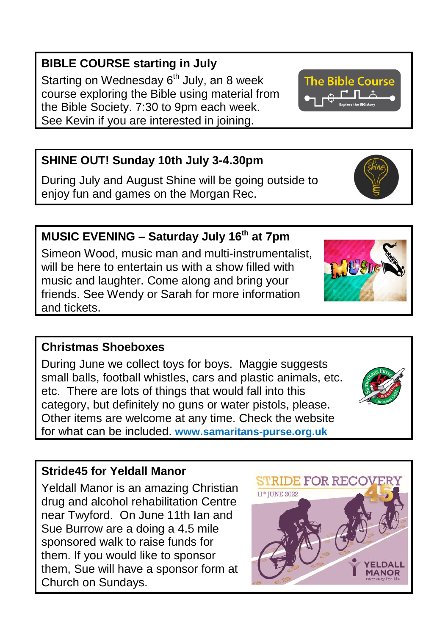# **BIBLE COURSE starting in July**

Starting on Wednesday  $6<sup>th</sup>$  July, an 8 week course exploring the Bible using material from the Bible Society. 7:30 to 9pm each week. See Kevin if you are interested in joining.

# **SHINE OUT! Sunday 10th July 3-4.30pm**

During July and August Shine will be going outside to enjoy fun and games on the Morgan Rec.

**MUSIC EVENING – Saturday July 16th at 7pm** Simeon Wood, music man and multi-instrumentalist, will be here to entertain us with a show filled with music and laughter. Come along and bring your friends. See Wendy or Sarah for more information

# **Christmas Shoeboxes**

and tickets.

During June we collect toys for boys. Maggie suggests small balls, football whistles, cars and plastic animals, etc. etc. There are lots of things that would fall into this category, but definitely no guns or water pistols, please. Other items are welcome at any time. Check the website for what can be included. **www.samaritans-purse.org.uk**

# **Stride45 for Yeldall Manor**

Yeldall Manor is an amazing Christian drug and alcohol rehabilitation Centre near Twyford. On June 11th Ian and Sue Burrow are a doing a 4.5 mile sponsored walk to raise funds for them. If you would like to sponsor them, Sue will have a sponsor form at Church on Sundays.









**AANOR**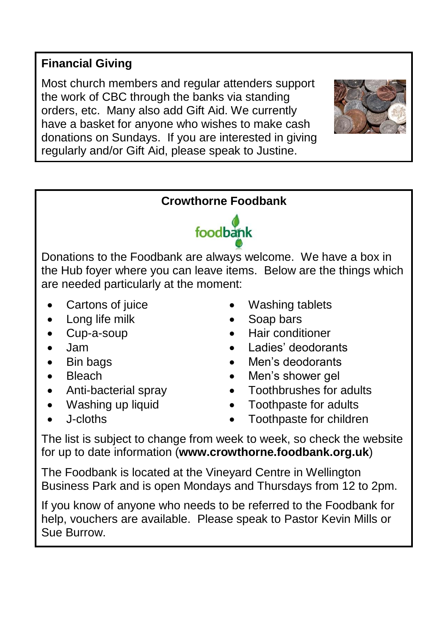### **Financial Giving**

Most church members and regular attenders support the work of CBC through the banks via standing orders, etc. Many also add Gift Aid. We currently have a basket for anyone who wishes to make cash donations on Sundays. If you are interested in giving regularly and/or Gift Aid, please speak to Justine.





Donations to the Foodbank are always welcome. We have a box in the Hub foyer where you can leave items. Below are the things which are needed particularly at the moment:

- Cartons of juice
- Long life milk
- Cup-a-soup
- Jam
- Bin bags
- Bleach
- Anti-bacterial spray
- Washing up liquid
- J-cloths
- Washing tablets
- Soap bars
- Hair conditioner
- Ladies' deodorants
- Men's deodorants
- Men's shower gel
- Toothbrushes for adults
- Toothpaste for adults
- Toothpaste for children

The list is subject to change from week to week, so check the website for up to date information (**www.crowthorne.foodbank.org.uk**)

The Foodbank is located at the Vineyard Centre in Wellington Business Park and is open Mondays and Thursdays from 12 to 2pm.

If you know of anyone who needs to be referred to the Foodbank for help, vouchers are available. Please speak to Pastor Kevin Mills or Sue Burrow.

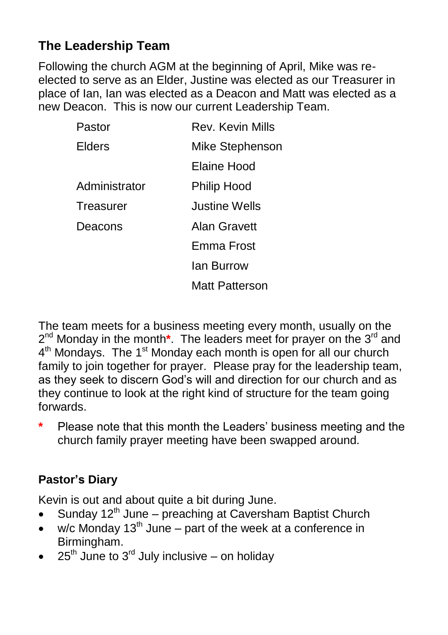# **The Leadership Team**

Following the church AGM at the beginning of April, Mike was reelected to serve as an Elder, Justine was elected as our Treasurer in place of Ian, Ian was elected as a Deacon and Matt was elected as a new Deacon. This is now our current Leadership Team.

| Pastor        | Rev. Kevin Mills     |
|---------------|----------------------|
| <b>Flders</b> | Mike Stephenson      |
|               | Flaine Hood          |
| Administrator | Philip Hood          |
| Treasurer     | <b>Justine Wells</b> |
| Deacons       | Alan Gravett         |
|               | Emma Frost           |
|               | lan Burrow           |
|               | Matt Patterson       |
|               |                      |

The team meets for a business meeting every month, usually on the 2<sup>nd</sup> Monday in the month<sup>\*</sup>. The leaders meet for prayer on the 3<sup>rd</sup> and 4<sup>th</sup> Mondays. The 1<sup>st</sup> Monday each month is open for all our church family to join together for prayer. Please pray for the leadership team, as they seek to discern God's will and direction for our church and as they continue to look at the right kind of structure for the team going forwards.

**\*** Please note that this month the Leaders' business meeting and the church family prayer meeting have been swapped around.

# **Pastor's Diary**

Kevin is out and about quite a bit during June.

- Sunday 12<sup>th</sup> June preaching at Caversham Baptist Church
- $\bullet$  w/c Monday 13<sup>th</sup> June part of the week at a conference in Birmingham.
- $25<sup>th</sup>$  June to  $3<sup>rd</sup>$  July inclusive on holiday